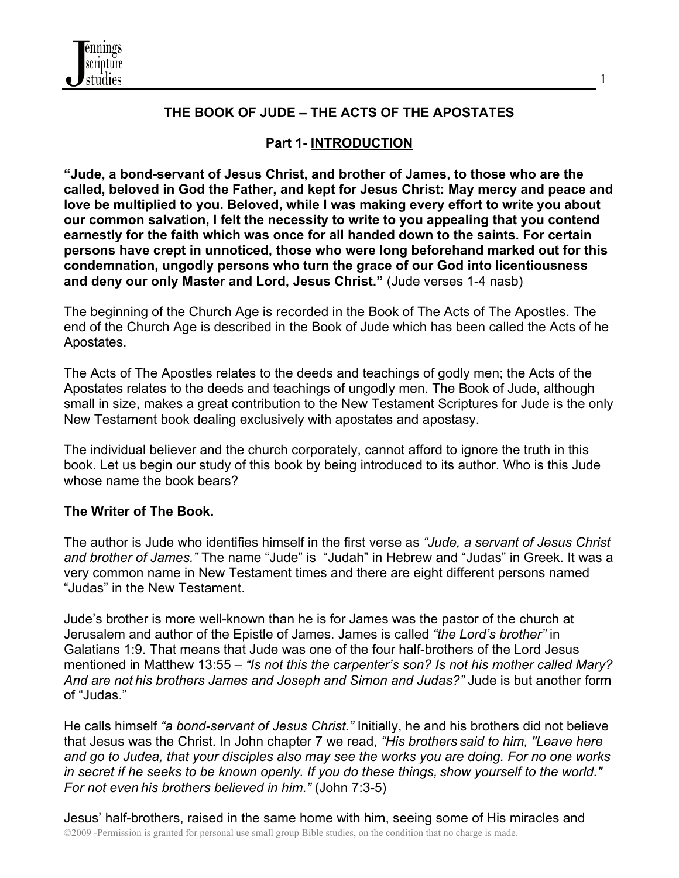

# **THE BOOK OF JUDE – THE ACTS OF THE APOSTATES**

1

# **Part 1- INTRODUCTION**

**"Jude, a bond-servant of Jesus Christ, and brother of James, to those who are the called, beloved in God the Father, and kept for Jesus Christ: May mercy and peace and love be multiplied to you. Beloved, while I was making every effort to write you about our common salvation, I felt the necessity to write to you appealing that you contend earnestly for the faith which was once for all handed down to the saints. For certain persons have crept in unnoticed, those who were long beforehand marked out for this condemnation, ungodly persons who turn the grace of our God into licentiousness and deny our only Master and Lord, Jesus Christ."** (Jude verses 1-4 nasb)

The beginning of the Church Age is recorded in the Book of The Acts of The Apostles. The end of the Church Age is described in the Book of Jude which has been called the Acts of he Apostates.

The Acts of The Apostles relates to the deeds and teachings of godly men; the Acts of the Apostates relates to the deeds and teachings of ungodly men. The Book of Jude, although small in size, makes a great contribution to the New Testament Scriptures for Jude is the only New Testament book dealing exclusively with apostates and apostasy.

The individual believer and the church corporately, cannot afford to ignore the truth in this book. Let us begin our study of this book by being introduced to its author. Who is this Jude whose name the book bears?

## **The Writer of The Book.**

The author is Jude who identifies himself in the first verse as *"Jude, a servant of Jesus Christ and brother of James."* The name "Jude" is "Judah" in Hebrew and "Judas" in Greek. It was a very common name in New Testament times and there are eight different persons named "Judas" in the New Testament.

Jude's brother is more well-known than he is for James was the pastor of the church at Jerusalem and author of the Epistle of James. James is called *"the Lord's brother"* in Galatians 1:9. That means that Jude was one of the four half-brothers of the Lord Jesus mentioned in Matthew 13:55 – *"Is not this the carpenter's son? Is not his mother called Mary? And are not his brothers James and Joseph and Simon and Judas?"* Jude is but another form of "Judas."

He calls himself *"a bond-servant of Jesus Christ."* Initially, he and his brothers did not believe that Jesus was the Christ. In John chapter 7 we read, *"His brothers said to him, "Leave here and go to Judea, that your disciples also may see the works you are doing. For no one works in secret if he seeks to be known openly. If you do these things, show yourself to the world." For not even his brothers believed in him."* (John 7:3-5)

©2009 -Permission is granted for personal use small group Bible studies, on the condition that no charge is made. Jesus' half-brothers, raised in the same home with him, seeing some of His miracles and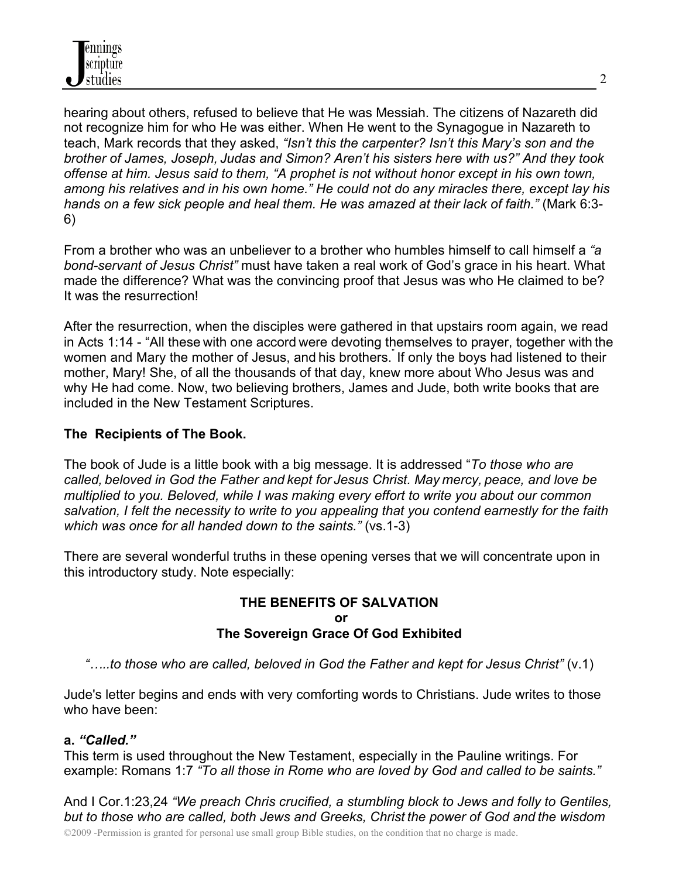

hearing about others, refused to believe that He was Messiah. The citizens of Nazareth did not recognize him for who He was either. When He went to the Synagogue in Nazareth to teach, Mark records that they asked, *"Isn't this the carpenter? Isn't this Mary's son and the brother of James, Joseph, Judas and Simon? Aren't his sisters here with us?" And they took offense at him. Jesus said to them, "A prophet is not without honor except in his own town, among his relatives and in his own home." He could not do any miracles there, except lay his hands on a few sick people and heal them. He was amazed at their lack of faith."* (Mark 6:3- 6)

From a brother who was an unbeliever to a brother who humbles himself to call himself a *"a bond-servant of Jesus Christ"* must have taken a real work of God's grace in his heart. What made the difference? What was the convincing proof that Jesus was who He claimed to be? It was the resurrection!

After the resurrection, when the disciples were gathered in that upstairs room again, we read in Acts 1:14 - "All these with one accord were devoting themselves to prayer, together with the women and Mary the mother of Jesus, and his brothers. If only the boys had listened to their mother, Mary! She, of all the thousands of that day, knew more about Who Jesus was and why He had come. Now, two believing brothers, James and Jude, both write books that are included in the New Testament Scriptures.

# **The Recipients of The Book.**

The book of Jude is a little book with a big message. It is addressed "*To those who are called, beloved in God the Father and kept for Jesus Christ. May mercy, peace, and love be multiplied to you. Beloved, while I was making every effort to write you about our common salvation, I felt the necessity to write to you appealing that you contend earnestly for the faith which was once for all handed down to the saints."* (vs.1-3)

There are several wonderful truths in these opening verses that we will concentrate upon in this introductory study. Note especially:

#### **THE BENEFITS OF SALVATION or The Sovereign Grace Of God Exhibited**

*"…..to those who are called, beloved in God the Father and kept for Jesus Christ"* (v.1)

Jude's letter begins and ends with very comforting words to Christians. Jude writes to those who have been:

## **a.** *"Called."*

This term is used throughout the New Testament, especially in the Pauline writings. For example: Romans 1:7 *"To all those in Rome who are loved by God and called to be saints."*

And I Cor.1:23,24 *"We preach Chris crucified, a stumbling block to Jews and folly to Gentiles, but to those who are called, both Jews and Greeks, Christ the power of God and the wisdom*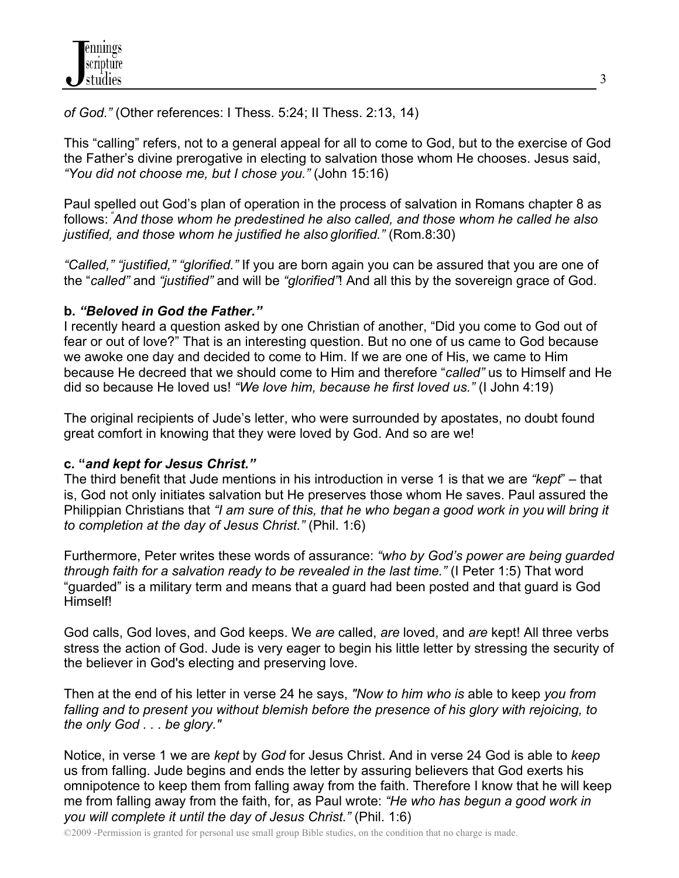*of God."* (Other references: I Thess. 5:24; II Thess. 2:13, 14)

This "calling" refers, not to a general appeal for all to come to God, but to the exercise of God the Father's divine prerogative in electing to salvation those whom He chooses. Jesus said, *"You did not choose me, but I chose you."* (John 15:16)

Paul spelled out God's plan of operation in the process of salvation in Romans chapter 8 as follows: *" And those whom he predestined he also called, and those whom he called he also justified, and those whom he justified he also glorified."* (Rom.8:30)

*"Called," "justified," "glorified."* If you are born again you can be assured that you are one of the "*called"* and *"justified"* and will be *"glorified"*! And all this by the sovereign grace of God.

# **b.** *"Beloved in God the Father."*

I recently heard a question asked by one Christian of another, "Did you come to God out of fear or out of love?" That is an interesting question. But no one of us came to God because we awoke one day and decided to come to Him. If we are one of His, we came to Him because He decreed that we should come to Him and therefore "*called"* us to Himself and He did so because He loved us! *"We love him, because he first loved us."* (I John 4:19)

The original recipients of Jude's letter, who were surrounded by apostates, no doubt found great comfort in knowing that they were loved by God. And so are we!

# **c. "***and kept for Jesus Christ."*

The third benefit that Jude mentions in his introduction in verse 1 is that we are *"kept*" – that is, God not only initiates salvation but He preserves those whom He saves. Paul assured the Philippian Christians that *"I am sure of this, that he who began a good work in you will bring it to completion at the day of Jesus Christ."* (Phil. 1:6)

Furthermore, Peter writes these words of assurance: *"who by God's power are being guarded through faith for a salvation ready to be revealed in the last time."* (I Peter 1:5) That word "guarded" is a military term and means that a guard had been posted and that guard is God Himself!

God calls, God loves, and God keeps. We *are* called, *are* loved, and *are* kept! All three verbs stress the action of God. Jude is very eager to begin his little letter by stressing the security of the believer in God's electing and preserving love.

Then at the end of his letter in verse 24 he says, *"Now to him who is* able to keep *you from falling and to present you without blemish before the presence of his glory with rejoicing, to the only God . . . be glory."*

Notice, in verse 1 we are *kept* by *God* for Jesus Christ. And in verse 24 God is able to *keep* us from falling. Jude begins and ends the letter by assuring believers that God exerts his omnipotence to keep them from falling away from the faith. Therefore I know that he will keep me from falling away from the faith, for, as Paul wrote: *"He who has begun a good work in you will complete it until the day of Jesus Christ."* (Phil. 1:6)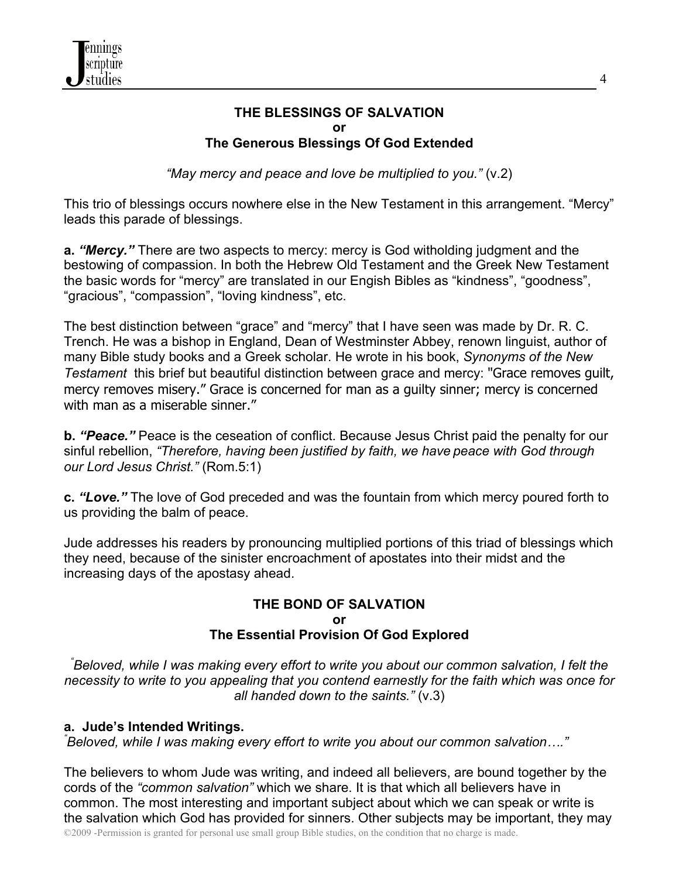## **THE BLESSINGS OF SALVATION or The Generous Blessings Of God Extended**

*"May mercy and peace and love be multiplied to you."* (v.2)

This trio of blessings occurs nowhere else in the New Testament in this arrangement. "Mercy" leads this parade of blessings.

**a.** *"Mercy."* There are two aspects to mercy: mercy is God witholding judgment and the bestowing of compassion. In both the Hebrew Old Testament and the Greek New Testament the basic words for "mercy" are translated in our Engish Bibles as "kindness", "goodness", "gracious", "compassion", "loving kindness", etc.

The best distinction between "grace" and "mercy" that I have seen was made by Dr. R. C. Trench. He was a bishop in England, Dean of Westminster Abbey, renown linguist, author of many Bible study books and a Greek scholar. He wrote in his book, *Synonyms of the New Testament* this brief but beautiful distinction between grace and mercy: "Grace removes guilt, mercy removes misery." Grace is concerned for man as a guilty sinner; mercy is concerned with man as a miserable sinner."

**b.** *"Peace."* Peace is the ceseation of conflict. Because Jesus Christ paid the penalty for our sinful rebellion, *"Therefore, having been justified by faith, we have peace with God through our Lord Jesus Christ."* (Rom.5:1)

**c.** *"Love."* The love of God preceded and was the fountain from which mercy poured forth to us providing the balm of peace.

Jude addresses his readers by pronouncing multiplied portions of this triad of blessings which they need, because of the sinister encroachment of apostates into their midst and the increasing days of the apostasy ahead.

## **THE BOND OF SALVATION or The Essential Provision Of God Explored**

*" Beloved, while I was making every effort to write you about our common salvation, I felt the necessity to write to you appealing that you contend earnestly for the faith which was once for all handed down to the saints."* (v.3)

## **a. Jude's Intended Writings.** *"*

*Beloved, while I was making every effort to write you about our common salvation…."*

©2009 -Permission is granted for personal use small group Bible studies, on the condition that no charge is made. The believers to whom Jude was writing, and indeed all believers, are bound together by the cords of the *"common salvation"* which we share. It is that which all believers have in common. The most interesting and important subject about which we can speak or write is the salvation which God has provided for sinners. Other subjects may be important, they may

4